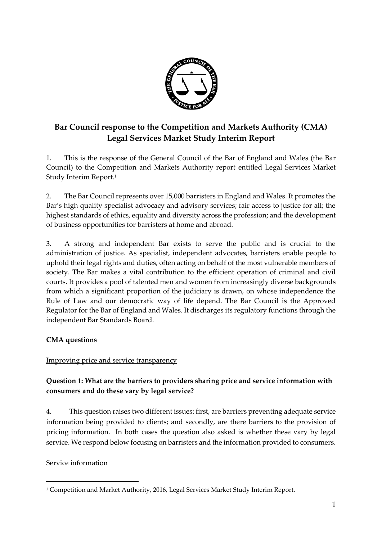

# **Bar Council response to the Competition and Markets Authority (CMA) Legal Services Market Study Interim Report**

1. This is the response of the General Council of the Bar of England and Wales (the Bar Council) to the Competition and Markets Authority report entitled Legal Services Market Study Interim Report. 1

2. The Bar Council represents over 15,000 barristers in England and Wales. It promotes the Bar's high quality specialist advocacy and advisory services; fair access to justice for all; the highest standards of ethics, equality and diversity across the profession; and the development of business opportunities for barristers at home and abroad.

3. A strong and independent Bar exists to serve the public and is crucial to the administration of justice. As specialist, independent advocates, barristers enable people to uphold their legal rights and duties, often acting on behalf of the most vulnerable members of society. The Bar makes a vital contribution to the efficient operation of criminal and civil courts. It provides a pool of talented men and women from increasingly diverse backgrounds from which a significant proportion of the judiciary is drawn, on whose independence the Rule of Law and our democratic way of life depend. The Bar Council is the Approved Regulator for the Bar of England and Wales. It discharges its regulatory functions through the independent Bar Standards Board.

### **CMA questions**

### Improving price and service transparency

## **Question 1: What are the barriers to providers sharing price and service information with consumers and do these vary by legal service?**

4. This question raises two different issues: first, are barriers preventing adequate service information being provided to clients; and secondly, are there barriers to the provision of pricing information. In both cases the question also asked is whether these vary by legal service. We respond below focusing on barristers and the information provided to consumers.

### Service information

<sup>1</sup> Competition and Market Authority, 2016, Legal Services Market Study Interim Report.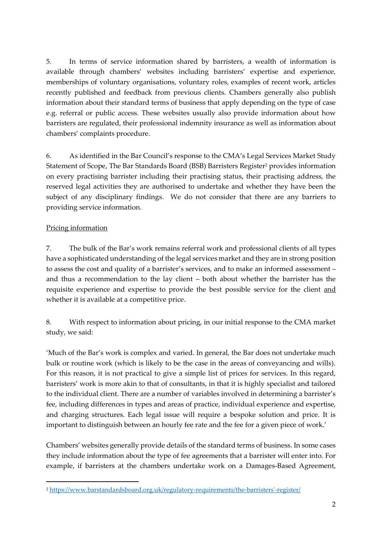5. In terms of service information shared by barristers, a wealth of information is available through chambers' websites including barristers' expertise and experience, memberships of voluntary organisations, voluntary roles, examples of recent work, articles recently published and feedback from previous clients. Chambers generally also publish information about their standard terms of business that apply depending on the type of case e.g. referral or public access. These websites usually also provide information about how barristers are regulated, their professional indemnity insurance as well as information about chambers' complaints procedure.

6. As identified in the Bar Council's response to the CMA's Legal Services Market Study Statement of Scope, The Bar Standards Board (BSB) Barristers Register<sup>2</sup> provides information on every practising barrister including their practising status, their practising address, the reserved legal activities they are authorised to undertake and whether they have been the subject of any disciplinary findings. We do not consider that there are any barriers to providing service information.

#### Pricing information

 $\overline{a}$ 

7. The bulk of the Bar's work remains referral work and professional clients of all types have a sophisticated understanding of the legal services market and they are in strong position to assess the cost and quality of a barrister's services, and to make an informed assessment – and thus a recommendation to the lay client – both about whether the barrister has the requisite experience and expertise to provide the best possible service for the client and whether it is available at a competitive price.

8. With respect to information about pricing, in our initial response to the CMA market study, we said:

'Much of the Bar's work is complex and varied. In general, the Bar does not undertake much bulk or routine work (which is likely to be the case in the areas of conveyancing and wills). For this reason, it is not practical to give a simple list of prices for services. In this regard, barristers' work is more akin to that of consultants, in that it is highly specialist and tailored to the individual client. There are a number of variables involved in determining a barrister's fee, including differences in types and areas of practice, individual experience and expertise, and charging structures. Each legal issue will require a bespoke solution and price. It is important to distinguish between an hourly fee rate and the fee for a given piece of work.'

Chambers' websites generally provide details of the standard terms of business. In some cases they include information about the type of fee agreements that a barrister will enter into. For example, if barristers at the chambers undertake work on a Damages-Based Agreement,

<sup>2</sup> [https://www.barstandardsboard.org.uk/regulatory-requirements/the-barristers'-register/](https://www.barstandardsboard.org.uk/regulatory-requirements/the-barristers)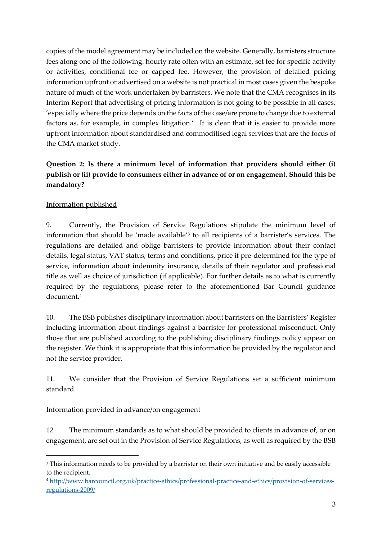copies of the model agreement may be included on the website. Generally, barristers structure fees along one of the following: hourly rate often with an estimate, set fee for specific activity or activities, conditional fee or capped fee. However, the provision of detailed pricing information upfront or advertised on a website is not practical in most cases given the bespoke nature of much of the work undertaken by barristers. We note that the CMA recognises in its Interim Report that advertising of pricing information is not going to be possible in all cases, 'especially where the price depends on the facts of the case/are prone to change due to external factors as, for example, in complex litigation.' It is clear that it is easier to provide more upfront information about standardised and commoditised legal services that are the focus of the CMA market study.

## **Question 2: Is there a minimum level of information that providers should either (i) publish or (ii) provide to consumers either in advance of or on engagement. Should this be mandatory?**

### Information published

1

9. Currently, the Provision of Service Regulations stipulate the minimum level of information that should be 'made available' 3 to all recipients of a barrister's services. The regulations are detailed and oblige barristers to provide information about their contact details, legal status, VAT status, terms and conditions, price if pre-determined for the type of service, information about indemnity insurance, details of their regulator and professional title as well as choice of jurisdiction (if applicable). For further details as to what is currently required by the regulations, please refer to the aforementioned Bar Council guidance document. 4

10. The BSB publishes disciplinary information about barristers on the Barristers' Register including information about findings against a barrister for professional misconduct. Only those that are published according to the publishing disciplinary findings policy appear on the register. We think it is appropriate that this information be provided by the regulator and not the service provider.

11. We consider that the Provision of Service Regulations set a sufficient minimum standard.

### Information provided in advance/on engagement

12. The minimum standards as to what should be provided to clients in advance of, or on engagement, are set out in the Provision of Service Regulations, as well as required by the BSB

<sup>&</sup>lt;sup>3</sup> This information needs to be provided by a barrister on their own initiative and be easily accessible to the recipient.

<sup>4</sup> [http://www.barcouncil.org.uk/practice-ethics/professional-practice-and-ethics/provision-of-services](http://www.barcouncil.org.uk/practice-ethics/professional-practice-and-ethics/provision-of-services-regulations-2009/)[regulations-2009/](http://www.barcouncil.org.uk/practice-ethics/professional-practice-and-ethics/provision-of-services-regulations-2009/)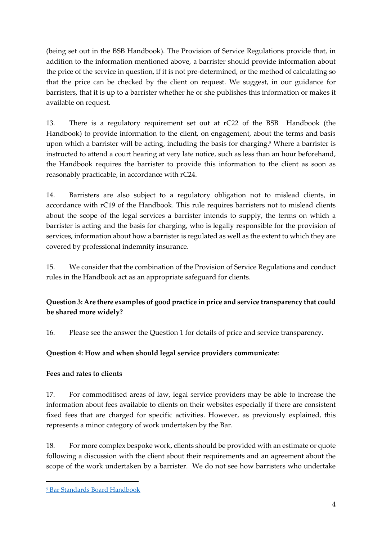(being set out in the BSB Handbook). The Provision of Service Regulations provide that, in addition to the information mentioned above, a barrister should provide information about the price of the service in question, if it is not pre-determined, or the method of calculating so that the price can be checked by the client on request. We suggest, in our guidance for barristers, that it is up to a barrister whether he or she publishes this information or makes it available on request.

13. There is a regulatory requirement set out at rC22 of the BSB Handbook (the Handbook) to provide information to the client, on engagement, about the terms and basis upon which a barrister will be acting, including the basis for charging. <sup>5</sup> Where a barrister is instructed to attend a court hearing at very late notice, such as less than an hour beforehand, the Handbook requires the barrister to provide this information to the client as soon as reasonably practicable, in accordance with rC24.

14. Barristers are also subject to a regulatory obligation not to mislead clients, in accordance with rC19 of the Handbook. This rule requires barristers not to mislead clients about the scope of the legal services a barrister intends to supply, the terms on which a barrister is acting and the basis for charging, who is legally responsible for the provision of services, information about how a barrister is regulated as well as the extent to which they are covered by professional indemnity insurance.

15. We consider that the combination of the Provision of Service Regulations and conduct rules in the Handbook act as an appropriate safeguard for clients.

## **Question 3: Are there examples of good practice in price and service transparency that could be shared more widely?**

16. Please see the answer the Question 1 for details of price and service transparency.

## **Question 4: How and when should legal service providers communicate:**

### **Fees and rates to clients**

17. For commoditised areas of law, legal service providers may be able to increase the information about fees available to clients on their websites especially if there are consistent fixed fees that are charged for specific activities. However, as previously explained, this represents a minor category of work undertaken by the Bar.

18. For more complex bespoke work, clients should be provided with an estimate or quote following a discussion with the client about their requirements and an agreement about the scope of the work undertaken by a barrister. We do not see how barristers who undertake

<sup>5</sup> [Bar Standards Board Handbook](https://www.barstandardsboard.org.uk/media/1731225/bsb_handbook_sept_2015.pdf)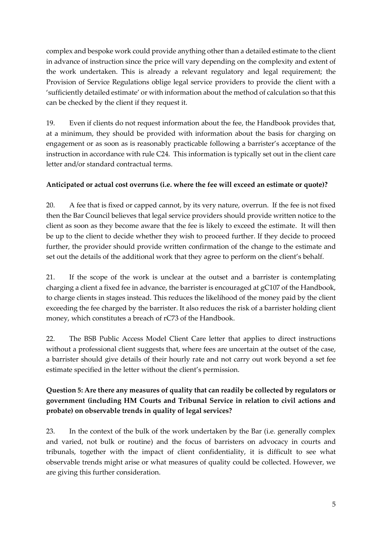complex and bespoke work could provide anything other than a detailed estimate to the client in advance of instruction since the price will vary depending on the complexity and extent of the work undertaken. This is already a relevant regulatory and legal requirement; the Provision of Service Regulations oblige legal service providers to provide the client with a 'sufficiently detailed estimate' or with information about the method of calculation so that this can be checked by the client if they request it.

19. Even if clients do not request information about the fee, the Handbook provides that, at a minimum, they should be provided with information about the basis for charging on engagement or as soon as is reasonably practicable following a barrister's acceptance of the instruction in accordance with rule C24. This information is typically set out in the client care letter and/or standard contractual terms.

### **Anticipated or actual cost overruns (i.e. where the fee will exceed an estimate or quote)?**

20. A fee that is fixed or capped cannot, by its very nature, overrun. If the fee is not fixed then the Bar Council believes that legal service providers should provide written notice to the client as soon as they become aware that the fee is likely to exceed the estimate. It will then be up to the client to decide whether they wish to proceed further. If they decide to proceed further, the provider should provide written confirmation of the change to the estimate and set out the details of the additional work that they agree to perform on the client's behalf.

21. If the scope of the work is unclear at the outset and a barrister is contemplating charging a client a fixed fee in advance, the barrister is encouraged at gC107 of the Handbook, to charge clients in stages instead. This reduces the likelihood of the money paid by the client exceeding the fee charged by the barrister. It also reduces the risk of a barrister holding client money, which constitutes a breach of rC73 of the Handbook.

22. The BSB Public Access Model Client Care letter that applies to direct instructions without a professional client suggests that, where fees are uncertain at the outset of the case, a barrister should give details of their hourly rate and not carry out work beyond a set fee estimate specified in the letter without the client's permission.

## **Question 5: Are there any measures of quality that can readily be collected by regulators or government (including HM Courts and Tribunal Service in relation to civil actions and probate) on observable trends in quality of legal services?**

23. In the context of the bulk of the work undertaken by the Bar (i.e. generally complex and varied, not bulk or routine) and the focus of barristers on advocacy in courts and tribunals, together with the impact of client confidentiality, it is difficult to see what observable trends might arise or what measures of quality could be collected. However, we are giving this further consideration.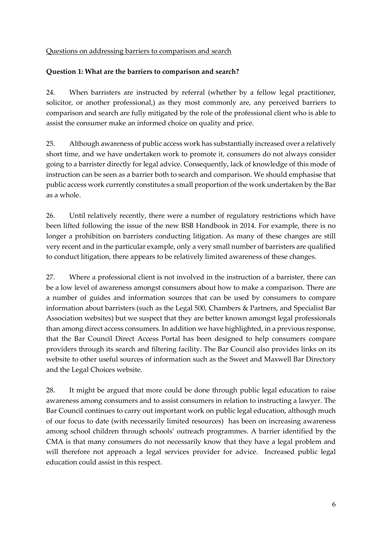#### Questions on addressing barriers to comparison and search

#### **Question 1: What are the barriers to comparison and search?**

24. When barristers are instructed by referral (whether by a fellow legal practitioner, solicitor, or another professional,) as they most commonly are, any perceived barriers to comparison and search are fully mitigated by the role of the professional client who is able to assist the consumer make an informed choice on quality and price.

25. Although awareness of public access work has substantially increased over a relatively short time, and we have undertaken work to promote it, consumers do not always consider going to a barrister directly for legal advice. Consequently, lack of knowledge of this mode of instruction can be seen as a barrier both to search and comparison. We should emphasise that public access work currently constitutes a small proportion of the work undertaken by the Bar as a whole.

26. Until relatively recently, there were a number of regulatory restrictions which have been lifted following the issue of the new BSB Handbook in 2014. For example, there is no longer a prohibition on barristers conducting litigation. As many of these changes are still very recent and in the particular example, only a very small number of barristers are qualified to conduct litigation, there appears to be relatively limited awareness of these changes.

27. Where a professional client is not involved in the instruction of a barrister, there can be a low level of awareness amongst consumers about how to make a comparison. There are a number of guides and information sources that can be used by consumers to compare information about barristers (such as the Legal 500, Chambers & Partners, and Specialist Bar Association websites) but we suspect that they are better known amongst legal professionals than among direct access consumers. In addition we have highlighted, in a previous response, that the Bar Council Direct Access Portal has been designed to help consumers compare providers through its search and filtering facility. The Bar Council also provides links on its website to other useful sources of information such as the Sweet and Maxwell Bar Directory and the Legal Choices website.

28. It might be argued that more could be done through public legal education to raise awareness among consumers and to assist consumers in relation to instructing a lawyer. The Bar Council continues to carry out important work on public legal education, although much of our focus to date (with necessarily limited resources) has been on increasing awareness among school children through schools' outreach programmes. A barrier identified by the CMA is that many consumers do not necessarily know that they have a legal problem and will therefore not approach a legal services provider for advice. Increased public legal education could assist in this respect.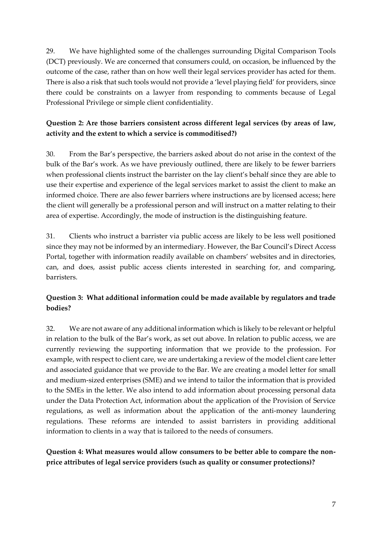29. We have highlighted some of the challenges surrounding Digital Comparison Tools (DCT) previously. We are concerned that consumers could, on occasion, be influenced by the outcome of the case, rather than on how well their legal services provider has acted for them. There is also a risk that such tools would not provide a 'level playing field' for providers, since there could be constraints on a lawyer from responding to comments because of Legal Professional Privilege or simple client confidentiality.

### **Question 2: Are those barriers consistent across different legal services (by areas of law, activity and the extent to which a service is commoditised?)**

30. From the Bar's perspective, the barriers asked about do not arise in the context of the bulk of the Bar's work. As we have previously outlined, there are likely to be fewer barriers when professional clients instruct the barrister on the lay client's behalf since they are able to use their expertise and experience of the legal services market to assist the client to make an informed choice. There are also fewer barriers where instructions are by licensed access; here the client will generally be a professional person and will instruct on a matter relating to their area of expertise. Accordingly, the mode of instruction is the distinguishing feature.

31. Clients who instruct a barrister via public access are likely to be less well positioned since they may not be informed by an intermediary. However, the Bar Council's Direct Access Portal, together with information readily available on chambers' websites and in directories, can, and does, assist public access clients interested in searching for, and comparing, barristers.

## **Question 3: What additional information could be made available by regulators and trade bodies?**

32. We are not aware of any additional information which is likely to be relevant or helpful in relation to the bulk of the Bar's work, as set out above. In relation to public access, we are currently reviewing the supporting information that we provide to the profession. For example, with respect to client care, we are undertaking a review of the model client care letter and associated guidance that we provide to the Bar. We are creating a model letter for small and medium-sized enterprises (SME) and we intend to tailor the information that is provided to the SMEs in the letter. We also intend to add information about processing personal data under the Data Protection Act, information about the application of the Provision of Service regulations, as well as information about the application of the anti-money laundering regulations. These reforms are intended to assist barristers in providing additional information to clients in a way that is tailored to the needs of consumers.

**Question 4: What measures would allow consumers to be better able to compare the nonprice attributes of legal service providers (such as quality or consumer protections)?**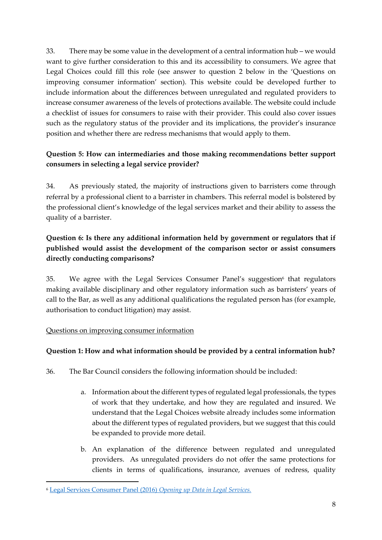33. There may be some value in the development of a central information hub – we would want to give further consideration to this and its accessibility to consumers. We agree that Legal Choices could fill this role (see answer to question 2 below in the 'Questions on improving consumer information' section). This website could be developed further to include information about the differences between unregulated and regulated providers to increase consumer awareness of the levels of protections available. The website could include a checklist of issues for consumers to raise with their provider. This could also cover issues such as the regulatory status of the provider and its implications, the provider's insurance position and whether there are redress mechanisms that would apply to them.

## **Question 5: How can intermediaries and those making recommendations better support consumers in selecting a legal service provider?**

34. As previously stated, the majority of instructions given to barristers come through referral by a professional client to a barrister in chambers. This referral model is bolstered by the professional client's knowledge of the legal services market and their ability to assess the quality of a barrister.

## **Question 6: Is there any additional information held by government or regulators that if published would assist the development of the comparison sector or assist consumers directly conducting comparisons?**

35. We agree with the Legal Services Consumer Panel's suggestion<sup>6</sup> that regulators making available disciplinary and other regulatory information such as barristers' years of call to the Bar, as well as any additional qualifications the regulated person has (for example, authorisation to conduct litigation) may assist.

### Questions on improving consumer information

### **Question 1: How and what information should be provided by a central information hub?**

- 36. The Bar Council considers the following information should be included:
	- a. Information about the different types of regulated legal professionals, the types of work that they undertake, and how they are regulated and insured. We understand that the Legal Choices website already includes some information about the different types of regulated providers, but we suggest that this could be expanded to provide more detail.
	- b. An explanation of the difference between regulated and unregulated providers. As unregulated providers do not offer the same protections for clients in terms of qualifications, insurance, avenues of redress, quality

<sup>6</sup> [Legal Services Consumer Panel \(2016\)](http://www.legalservicesconsumerpanel.org.uk/publications/research_and_reports/documents/OpenDatainLegalServicesFinal.pdf) *Opening up Data in Legal Services.*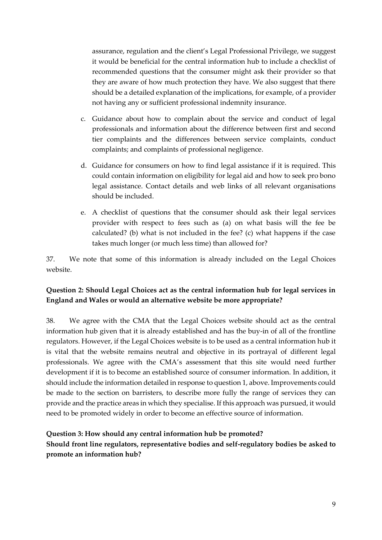assurance, regulation and the client's Legal Professional Privilege, we suggest it would be beneficial for the central information hub to include a checklist of recommended questions that the consumer might ask their provider so that they are aware of how much protection they have. We also suggest that there should be a detailed explanation of the implications, for example, of a provider not having any or sufficient professional indemnity insurance.

- c. Guidance about how to complain about the service and conduct of legal professionals and information about the difference between first and second tier complaints and the differences between service complaints, conduct complaints; and complaints of professional negligence.
- d. Guidance for consumers on how to find legal assistance if it is required. This could contain information on eligibility for legal aid and how to seek pro bono legal assistance. Contact details and web links of all relevant organisations should be included.
- e. A checklist of questions that the consumer should ask their legal services provider with respect to fees such as (a) on what basis will the fee be calculated? (b) what is not included in the fee? (c) what happens if the case takes much longer (or much less time) than allowed for?

37. We note that some of this information is already included on the Legal Choices website.

### **Question 2: Should Legal Choices act as the central information hub for legal services in England and Wales or would an alternative website be more appropriate?**

38. We agree with the CMA that the Legal Choices website should act as the central information hub given that it is already established and has the buy-in of all of the frontline regulators. However, if the Legal Choices website is to be used as a central information hub it is vital that the website remains neutral and objective in its portrayal of different legal professionals. We agree with the CMA's assessment that this site would need further development if it is to become an established source of consumer information. In addition, it should include the information detailed in response to question 1, above. Improvements could be made to the section on barristers, to describe more fully the range of services they can provide and the practice areas in which they specialise. If this approach was pursued, it would need to be promoted widely in order to become an effective source of information.

### **Question 3: How should any central information hub be promoted?**

**Should front line regulators, representative bodies and self-regulatory bodies be asked to promote an information hub?**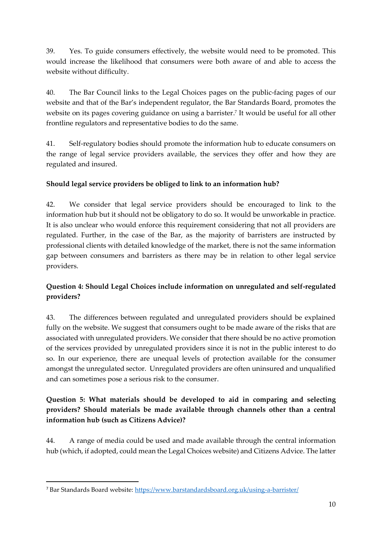39. Yes. To guide consumers effectively, the website would need to be promoted. This would increase the likelihood that consumers were both aware of and able to access the website without difficulty.

40. The Bar Council links to the Legal Choices pages on the public-facing pages of our website and that of the Bar's independent regulator, the Bar Standards Board, promotes the website on its pages covering guidance on using a barrister. 7 It would be useful for all other frontline regulators and representative bodies to do the same.

41. Self-regulatory bodies should promote the information hub to educate consumers on the range of legal service providers available, the services they offer and how they are regulated and insured.

## **Should legal service providers be obliged to link to an information hub?**

42. We consider that legal service providers should be encouraged to link to the information hub but it should not be obligatory to do so. It would be unworkable in practice. It is also unclear who would enforce this requirement considering that not all providers are regulated. Further, in the case of the Bar, as the majority of barristers are instructed by professional clients with detailed knowledge of the market, there is not the same information gap between consumers and barristers as there may be in relation to other legal service providers.

## **Question 4: Should Legal Choices include information on unregulated and self-regulated providers?**

43. The differences between regulated and unregulated providers should be explained fully on the website. We suggest that consumers ought to be made aware of the risks that are associated with unregulated providers. We consider that there should be no active promotion of the services provided by unregulated providers since it is not in the public interest to do so. In our experience, there are unequal levels of protection available for the consumer amongst the unregulated sector. Unregulated providers are often uninsured and unqualified and can sometimes pose a serious risk to the consumer.

## **Question 5: What materials should be developed to aid in comparing and selecting providers? Should materials be made available through channels other than a central information hub (such as Citizens Advice)?**

44. A range of media could be used and made available through the central information hub (which, if adopted, could mean the Legal Choices website) and Citizens Advice. The latter

<sup>7</sup> Bar Standards Board website:<https://www.barstandardsboard.org.uk/using-a-barrister/>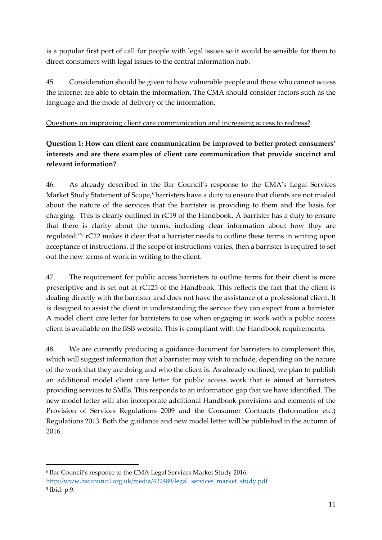is a popular first port of call for people with legal issues so it would be sensible for them to direct consumers with legal issues to the central information hub.

45. Consideration should be given to how vulnerable people and those who cannot access the internet are able to obtain the information. The CMA should consider factors such as the language and the mode of delivery of the information.

#### Questions on improving client care communication and increasing access to redress?

## **Question 1: How can client care communication be improved to better protect consumers' interests and are there examples of client care communication that provide succinct and relevant information?**

46. As already described in the Bar Council's response to the CMA's Legal Services Market Study Statement of Scope, <sup>8</sup> barristers have a duty to ensure that clients are not misled about the nature of the services that the barrister is providing to them and the basis for charging. This is clearly outlined in rC19 of the Handbook. A barrister has a duty to ensure that there is clarity about the terms, including clear information about how they are regulated."<sup>9</sup> rC22 makes it clear that a barrister needs to outline these terms in writing upon acceptance of instructions. If the scope of instructions varies, then a barrister is required to set out the new terms of work in writing to the client.

47. The requirement for public access barristers to outline terms for their client is more prescriptive and is set out at rC125 of the Handbook. This reflects the fact that the client is dealing directly with the barrister and does not have the assistance of a professional client. It is designed to assist the client in understanding the service they can expect from a barrister. A model client care letter for barristers to use when engaging in work with a public access client is available on the BSB website. This is compliant with the Handbook requirements.

48. We are currently producing a guidance document for barristers to complement this, which will suggest information that a barrister may wish to include, depending on the nature of the work that they are doing and who the client is. As already outlined, we plan to publish an additional model client care letter for public access work that is aimed at barristers providing services to SMEs. This responds to an information gap that we have identified. The new model letter will also incorporate additional Handbook provisions and elements of the Provision of Services Regulations 2009 and the Consumer Contracts (Information etc.) Regulations 2013. Both the guidance and new model letter will be published in the autumn of 2016.

<sup>8</sup> Bar Council's response to the CMA Legal Services Market Study 2016: [http://www.barcouncil.org.uk/media/422489/legal\\_services\\_market\\_study.pdf](http://www.barcouncil.org.uk/media/422489/legal_services_market_study.pdf) 9 Ibid: p.9.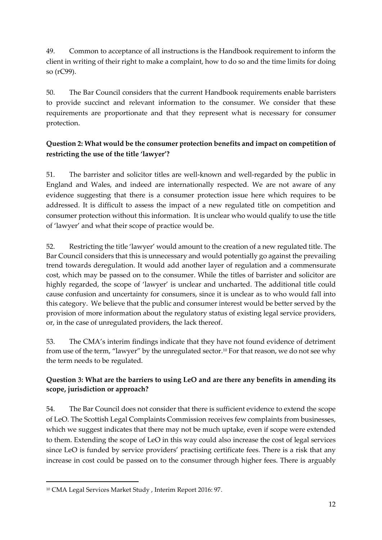49. Common to acceptance of all instructions is the Handbook requirement to inform the client in writing of their right to make a complaint, how to do so and the time limits for doing so (rC99).

50. The Bar Council considers that the current Handbook requirements enable barristers to provide succinct and relevant information to the consumer. We consider that these requirements are proportionate and that they represent what is necessary for consumer protection.

## **Question 2: What would be the consumer protection benefits and impact on competition of restricting the use of the title 'lawyer'?**

51. The barrister and solicitor titles are well-known and well-regarded by the public in England and Wales, and indeed are internationally respected. We are not aware of any evidence suggesting that there is a consumer protection issue here which requires to be addressed. It is difficult to assess the impact of a new regulated title on competition and consumer protection without this information. It is unclear who would qualify to use the title of 'lawyer' and what their scope of practice would be.

52. Restricting the title 'lawyer' would amount to the creation of a new regulated title. The Bar Council considers that this is unnecessary and would potentially go against the prevailing trend towards deregulation. It would add another layer of regulation and a commensurate cost, which may be passed on to the consumer. While the titles of barrister and solicitor are highly regarded, the scope of 'lawyer' is unclear and uncharted. The additional title could cause confusion and uncertainty for consumers, since it is unclear as to who would fall into this category. We believe that the public and consumer interest would be better served by the provision of more information about the regulatory status of existing legal service providers, or, in the case of unregulated providers, the lack thereof.

53. The CMA's interim findings indicate that they have not found evidence of detriment from use of the term, "lawyer" by the unregulated sector. <sup>10</sup> For that reason, we do not see why the term needs to be regulated.

## **Question 3: What are the barriers to using LeO and are there any benefits in amending its scope, jurisdiction or approach?**

54. The Bar Council does not consider that there is sufficient evidence to extend the scope of LeO. The Scottish Legal Complaints Commission receives few complaints from businesses, which we suggest indicates that there may not be much uptake, even if scope were extended to them. Extending the scope of LeO in this way could also increase the cost of legal services since LeO is funded by service providers' practising certificate fees. There is a risk that any increase in cost could be passed on to the consumer through higher fees. There is arguably

<sup>10</sup> CMA Legal Services Market Study , Interim Report 2016: 97.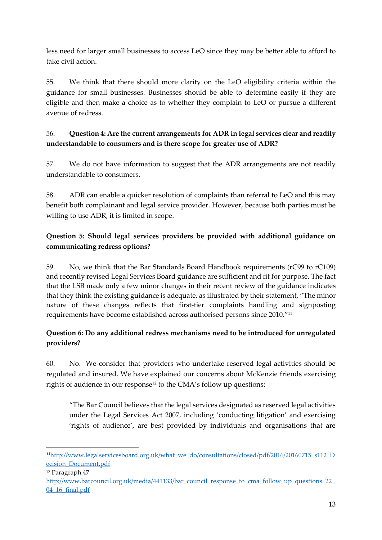less need for larger small businesses to access LeO since they may be better able to afford to take civil action.

55. We think that there should more clarity on the LeO eligibility criteria within the guidance for small businesses. Businesses should be able to determine easily if they are eligible and then make a choice as to whether they complain to LeO or pursue a different avenue of redress.

## 56. **Question 4: Are the current arrangements for ADR in legal services clear and readily understandable to consumers and is there scope for greater use of ADR?**

57. We do not have information to suggest that the ADR arrangements are not readily understandable to consumers.

58. ADR can enable a quicker resolution of complaints than referral to LeO and this may benefit both complainant and legal service provider. However, because both parties must be willing to use ADR, it is limited in scope.

## **Question 5: Should legal services providers be provided with additional guidance on communicating redress options?**

59. No, we think that the Bar Standards Board Handbook requirements (rC99 to rC109) and recently revised Legal Services Board guidance are sufficient and fit for purpose. The fact that the LSB made only a few minor changes in their recent review of the guidance indicates that they think the existing guidance is adequate, as illustrated by their statement, "The minor nature of these changes reflects that first-tier complaints handling and signposting requirements have become established across authorised persons since 2010." 11

## **Question 6: Do any additional redress mechanisms need to be introduced for unregulated providers?**

60. No. We consider that providers who undertake reserved legal activities should be regulated and insured. We have explained our concerns about McKenzie friends exercising rights of audience in our response<sup>12</sup> to the CMA's follow up questions:

"The Bar Council believes that the legal services designated as reserved legal activities under the Legal Services Act 2007, including 'conducting litigation' and exercising 'rights of audience', are best provided by individuals and organisations that are

<sup>12</sup> Paragraph 47

<sup>&</sup>lt;sup>11</sup>[http://www.legalservicesboard.org.uk/what\\_we\\_do/consultations/closed/pdf/2016/20160715\\_s112\\_D](http://www.legalservicesboard.org.uk/what_we_do/consultations/closed/pdf/2016/20160715_s112_Decision_Document.pdf) [ecision\\_Document.pdf](http://www.legalservicesboard.org.uk/what_we_do/consultations/closed/pdf/2016/20160715_s112_Decision_Document.pdf)

http://www.barcouncil.org.uk/media/441133/bar\_council\_response\_to\_cma\_follow\_up\_questions\_22 [04\\_16\\_final.pdf](http://www.barcouncil.org.uk/media/441133/bar_council_response_to_cma_follow_up_questions_22_04_16_final.pdf)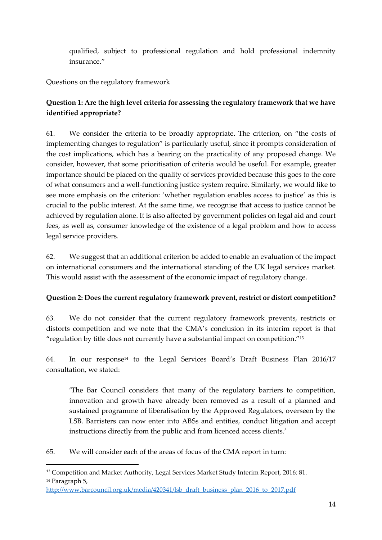qualified, subject to professional regulation and hold professional indemnity insurance."

#### Questions on the regulatory framework

## **Question 1: Are the high level criteria for assessing the regulatory framework that we have identified appropriate?**

61. We consider the criteria to be broadly appropriate. The criterion, on "the costs of implementing changes to regulation" is particularly useful, since it prompts consideration of the cost implications, which has a bearing on the practicality of any proposed change. We consider, however, that some prioritisation of criteria would be useful. For example, greater importance should be placed on the quality of services provided because this goes to the core of what consumers and a well-functioning justice system require. Similarly, we would like to see more emphasis on the criterion: 'whether regulation enables access to justice' as this is crucial to the public interest. At the same time, we recognise that access to justice cannot be achieved by regulation alone. It is also affected by government policies on legal aid and court fees, as well as, consumer knowledge of the existence of a legal problem and how to access legal service providers.

62. We suggest that an additional criterion be added to enable an evaluation of the impact on international consumers and the international standing of the UK legal services market. This would assist with the assessment of the economic impact of regulatory change.

#### **Question 2: Does the current regulatory framework prevent, restrict or distort competition?**

63. We do not consider that the current regulatory framework prevents, restricts or distorts competition and we note that the CMA's conclusion in its interim report is that "regulation by title does not currently have a substantial impact on competition." 13

64. In our response<sup>14</sup> to the Legal Services Board's Draft Business Plan 2016/17 consultation, we stated:

'The Bar Council considers that many of the regulatory barriers to competition, innovation and growth have already been removed as a result of a planned and sustained programme of liberalisation by the Approved Regulators, overseen by the LSB. Barristers can now enter into ABSs and entities, conduct litigation and accept instructions directly from the public and from licenced access clients.'

65. We will consider each of the areas of focus of the CMA report in turn:

<sup>&</sup>lt;sup>13</sup> Competition and Market Authority, Legal Services Market Study Interim Report, 2016: 81. <sup>14</sup> Paragraph 5,

[http://www.barcouncil.org.uk/media/420341/lsb\\_draft\\_business\\_plan\\_2016\\_to\\_2017.pdf](http://www.barcouncil.org.uk/media/420341/lsb_draft_business_plan_2016_to_2017.pdf)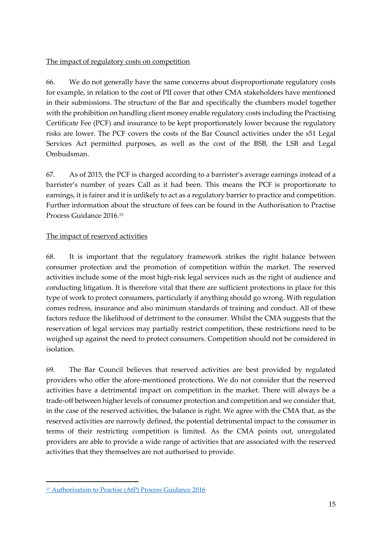#### The impact of regulatory costs on competition

66. We do not generally have the same concerns about disproportionate regulatory costs for example, in relation to the cost of PII cover that other CMA stakeholders have mentioned in their submissions. The structure of the Bar and specifically the chambers model together with the prohibition on handling client money enable regulatory costs including the Practising Certificate Fee (PCF) and insurance to be kept proportionately lower because the regulatory risks are lower. The PCF covers the costs of the Bar Council activities under the s51 Legal Services Act permitted purposes, as well as the cost of the BSB, the LSB and Legal Ombudsman.

67. As of 2015, the PCF is charged according to a barrister's average earnings instead of a barrister's number of years Call as it had been. This means the PCF is proportionate to earnings, it is fairer and it is unlikely to act as a regulatory barrier to practice and competition. Further information about the structure of fees can be found in the Authorisation to Practise Process Guidance 2016.<sup>15</sup>

#### The impact of reserved activities

68. It is important that the regulatory framework strikes the right balance between consumer protection and the promotion of competition within the market. The reserved activities include some of the most high-risk legal services such as the right of audience and conducting litigation. It is therefore vital that there are sufficient protections in place for this type of work to protect consumers, particularly if anything should go wrong. With regulation comes redress, insurance and also minimum standards of training and conduct. All of these factors reduce the likelihood of detriment to the consumer. Whilst the CMA suggests that the reservation of legal services may partially restrict competition, these restrictions need to be weighed up against the need to protect consumers. Competition should not be considered in isolation.

69. The Bar Council believes that reserved activities are best provided by regulated providers who offer the afore-mentioned protections. We do not consider that the reserved activities have a detrimental impact on competition in the market. There will always be a trade-off between higher levels of consumer protection and competition and we consider that, in the case of the reserved activities, the balance is right. We agree with the CMA that, as the reserved activities are narrowly defined, the potential detrimental impact to the consumer in terms of their restricting competition is limited. As the CMA points out, unregulated providers are able to provide a wide range of activities that are associated with the reserved activities that they themselves are not authorised to provide.

<sup>15</sup> [Authorisation to Practise \(AtP\) Process Guidance 2016](https://www.barstandardsboard.org.uk/media/1733740/schedule_of_practising_certificate_fees_2016-17_-_policy_and_guidance.pdf)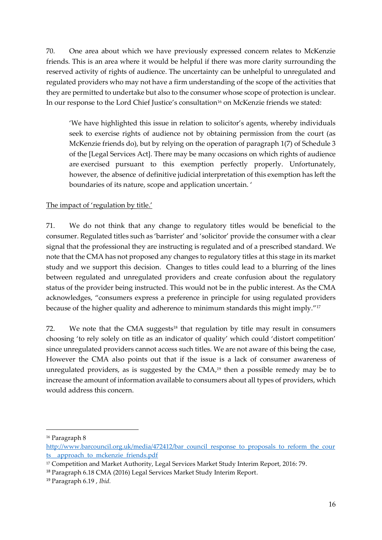70. One area about which we have previously expressed concern relates to McKenzie friends. This is an area where it would be helpful if there was more clarity surrounding the reserved activity of rights of audience. The uncertainty can be unhelpful to unregulated and regulated providers who may not have a firm understanding of the scope of the activities that they are permitted to undertake but also to the consumer whose scope of protection is unclear. In our response to the Lord Chief Justice's consultation<sup>16</sup> on McKenzie friends we stated:

'We have highlighted this issue in relation to solicitor's agents, whereby individuals seek to exercise rights of audience not by obtaining permission from the court (as McKenzie friends do), but by relying on the operation of paragraph 1(7) of Schedule 3 of the [Legal Services Act]. There may be many occasions on which rights of audience are exercised pursuant to this exemption perfectly properly. Unfortunately, however, the absence of definitive judicial interpretation of this exemption has left the boundaries of its nature, scope and application uncertain. '

#### The impact of 'regulation by title.'

71. We do not think that any change to regulatory titles would be beneficial to the consumer. Regulated titles such as 'barrister' and 'solicitor' provide the consumer with a clear signal that the professional they are instructing is regulated and of a prescribed standard. We note that the CMA has not proposed any changes to regulatory titles at this stage in its market study and we support this decision. Changes to titles could lead to a blurring of the lines between regulated and unregulated providers and create confusion about the regulatory status of the provider being instructed. This would not be in the public interest. As the CMA acknowledges, "consumers express a preference in principle for using regulated providers because of the higher quality and adherence to minimum standards this might imply."<sup>17</sup>

72. We note that the CMA suggests<sup>18</sup> that regulation by title may result in consumers choosing 'to rely solely on title as an indicator of quality' which could 'distort competition' since unregulated providers cannot access such titles. We are not aware of this being the case, However the CMA also points out that if the issue is a lack of consumer awareness of unregulated providers, as is suggested by the CMA, <sup>19</sup> then a possible remedy may be to increase the amount of information available to consumers about all types of providers, which would address this concern.

<sup>16</sup> Paragraph 8

[http://www.barcouncil.org.uk/media/472412/bar\\_council\\_response\\_to\\_proposals\\_to\\_reform\\_the\\_cour](http://www.barcouncil.org.uk/media/472412/bar_council_response_to_proposals_to_reform_the_courts__approach_to_mckenzie_friends.pdf) ts\_approach\_to\_mckenzie\_friends.pdf

<sup>&</sup>lt;sup>17</sup> Competition and Market Authority, Legal Services Market Study Interim Report, 2016: 79.

<sup>18</sup> Paragraph 6.18 CMA (2016) Legal Services Market Study Interim Report.

<sup>19</sup> Paragraph 6.19 , *Ibid.*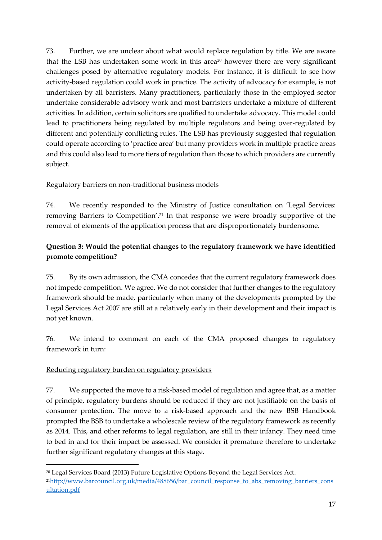73. Further, we are unclear about what would replace regulation by title. We are aware that the LSB has undertaken some work in this area<sup>20</sup> however there are very significant challenges posed by alternative regulatory models. For instance, it is difficult to see how activity-based regulation could work in practice. The activity of advocacy for example, is not undertaken by all barristers. Many practitioners, particularly those in the employed sector undertake considerable advisory work and most barristers undertake a mixture of different activities. In addition, certain solicitors are qualified to undertake advocacy. This model could lead to practitioners being regulated by multiple regulators and being over-regulated by different and potentially conflicting rules. The LSB has previously suggested that regulation could operate according to 'practice area' but many providers work in multiple practice areas and this could also lead to more tiers of regulation than those to which providers are currently subject.

### Regulatory barriers on non-traditional business models

74. We recently responded to the Ministry of Justice consultation on 'Legal Services: removing Barriers to Competition'. <sup>21</sup> In that response we were broadly supportive of the removal of elements of the application process that are disproportionately burdensome.

## **Question 3: Would the potential changes to the regulatory framework we have identified promote competition?**

75. By its own admission, the CMA concedes that the current regulatory framework does not impede competition. We agree. We do not consider that further changes to the regulatory framework should be made, particularly when many of the developments prompted by the Legal Services Act 2007 are still at a relatively early in their development and their impact is not yet known.

76. We intend to comment on each of the CMA proposed changes to regulatory framework in turn:

### Reducing regulatory burden on regulatory providers

 $\overline{a}$ 

77. We supported the move to a risk-based model of regulation and agree that, as a matter of principle, regulatory burdens should be reduced if they are not justifiable on the basis of consumer protection. The move to a risk-based approach and the new BSB Handbook prompted the BSB to undertake a wholescale review of the regulatory framework as recently as 2014. This, and other reforms to legal regulation, are still in their infancy. They need time to bed in and for their impact be assessed. We consider it premature therefore to undertake further significant regulatory changes at this stage.

<sup>20</sup> Legal Services Board (2013) Future Legislative Options Beyond the Legal Services Act. <sup>21</sup>[http://www.barcouncil.org.uk/media/488656/bar\\_council\\_response\\_to\\_abs\\_removing\\_barriers\\_cons](http://www.barcouncil.org.uk/media/488656/bar_council_response_to_abs_removing_barriers_consultation.pdf) [ultation.pdf](http://www.barcouncil.org.uk/media/488656/bar_council_response_to_abs_removing_barriers_consultation.pdf)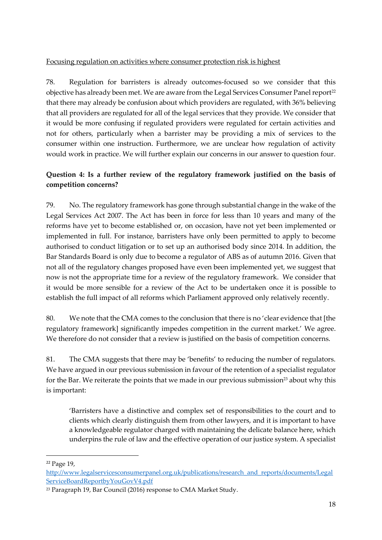#### Focusing regulation on activities where consumer protection risk is highest

78. Regulation for barristers is already outcomes-focused so we consider that this objective has already been met. We are aware from the Legal Services Consumer Panel report<sup>22</sup> that there may already be confusion about which providers are regulated, with 36% believing that all providers are regulated for all of the legal services that they provide. We consider that it would be more confusing if regulated providers were regulated for certain activities and not for others, particularly when a barrister may be providing a mix of services to the consumer within one instruction. Furthermore, we are unclear how regulation of activity would work in practice. We will further explain our concerns in our answer to question four.

## **Question 4: Is a further review of the regulatory framework justified on the basis of competition concerns?**

79. No. The regulatory framework has gone through substantial change in the wake of the Legal Services Act 2007. The Act has been in force for less than 10 years and many of the reforms have yet to become established or, on occasion, have not yet been implemented or implemented in full. For instance, barristers have only been permitted to apply to become authorised to conduct litigation or to set up an authorised body since 2014. In addition, the Bar Standards Board is only due to become a regulator of ABS as of autumn 2016. Given that not all of the regulatory changes proposed have even been implemented yet, we suggest that now is not the appropriate time for a review of the regulatory framework. We consider that it would be more sensible for a review of the Act to be undertaken once it is possible to establish the full impact of all reforms which Parliament approved only relatively recently.

80. We note that the CMA comes to the conclusion that there is no 'clear evidence that [the regulatory framework] significantly impedes competition in the current market.' We agree. We therefore do not consider that a review is justified on the basis of competition concerns.

81. The CMA suggests that there may be 'benefits' to reducing the number of regulators. We have argued in our previous submission in favour of the retention of a specialist regulator for the Bar. We reiterate the points that we made in our previous submission<sup>23</sup> about why this is important:

'Barristers have a distinctive and complex set of responsibilities to the court and to clients which clearly distinguish them from other lawyers, and it is important to have a knowledgeable regulator charged with maintaining the delicate balance here, which underpins the rule of law and the effective operation of our justice system. A specialist

1

<sup>22</sup> Page 19,

[http://www.legalservicesconsumerpanel.org.uk/publications/research\\_and\\_reports/documents/Legal](http://www.legalservicesconsumerpanel.org.uk/publications/research_and_reports/documents/LegalServiceBoardReportbyYouGovV4.pdf) [ServiceBoardReportbyYouGovV4.pdf](http://www.legalservicesconsumerpanel.org.uk/publications/research_and_reports/documents/LegalServiceBoardReportbyYouGovV4.pdf)

<sup>23</sup> Paragraph 19, Bar Council (2016) response to CMA Market Study.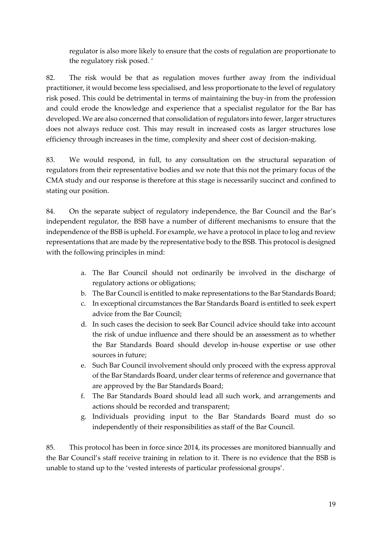regulator is also more likely to ensure that the costs of regulation are proportionate to the regulatory risk posed. '

82. The risk would be that as regulation moves further away from the individual practitioner, it would become less specialised, and less proportionate to the level of regulatory risk posed. This could be detrimental in terms of maintaining the buy-in from the profession and could erode the knowledge and experience that a specialist regulator for the Bar has developed. We are also concerned that consolidation of regulators into fewer, larger structures does not always reduce cost. This may result in increased costs as larger structures lose efficiency through increases in the time, complexity and sheer cost of decision-making.

83. We would respond, in full, to any consultation on the structural separation of regulators from their representative bodies and we note that this not the primary focus of the CMA study and our response is therefore at this stage is necessarily succinct and confined to stating our position.

84. On the separate subject of regulatory independence, the Bar Council and the Bar's independent regulator, the BSB have a number of different mechanisms to ensure that the independence of the BSB is upheld. For example, we have a protocol in place to log and review representations that are made by the representative body to the BSB. This protocol is designed with the following principles in mind:

- a. The Bar Council should not ordinarily be involved in the discharge of regulatory actions or obligations;
- b. The Bar Council is entitled to make representations to the Bar Standards Board;
- c. In exceptional circumstances the Bar Standards Board is entitled to seek expert advice from the Bar Council;
- d. In such cases the decision to seek Bar Council advice should take into account the risk of undue influence and there should be an assessment as to whether the Bar Standards Board should develop in-house expertise or use other sources in future;
- e. Such Bar Council involvement should only proceed with the express approval of the Bar Standards Board, under clear terms of reference and governance that are approved by the Bar Standards Board;
- f. The Bar Standards Board should lead all such work, and arrangements and actions should be recorded and transparent;
- g. Individuals providing input to the Bar Standards Board must do so independently of their responsibilities as staff of the Bar Council.

85. This protocol has been in force since 2014, its processes are monitored biannually and the Bar Council's staff receive training in relation to it. There is no evidence that the BSB is unable to stand up to the 'vested interests of particular professional groups'.